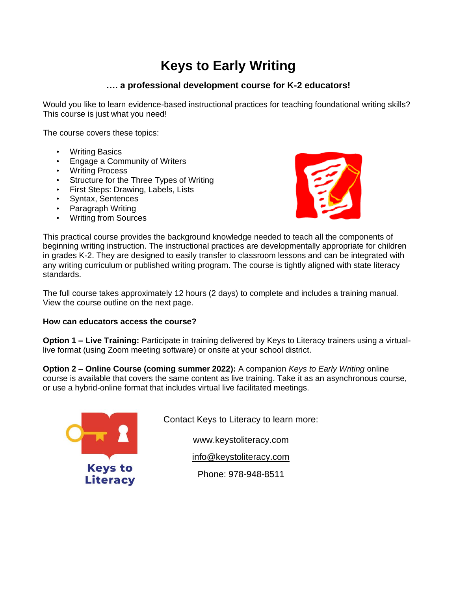# **Keys to Early Writing**

## **…. a professional development course for K-2 educators!**

Would you like to learn evidence-based instructional practices for teaching foundational writing skills? This course is just what you need!

The course covers these topics:

- Writing Basics
- Engage a Community of Writers
- Writing Process
- Structure for the Three Types of Writing
- First Steps: Drawing, Labels, Lists
- Syntax, Sentences
- Paragraph Writing
- Writing from Sources



This practical course provides the background knowledge needed to teach all the components of beginning writing instruction. The instructional practices are developmentally appropriate for children in grades K-2. They are designed to easily transfer to classroom lessons and can be integrated with any writing curriculum or published writing program. The course is tightly aligned with state literacy standards.

The full course takes approximately 12 hours (2 days) to complete and includes a training manual. View the course outline on the next page.

### **How can educators access the course?**

**Option 1 – Live Training:** Participate in training delivered by Keys to Literacy trainers using a virtuallive format (using Zoom meeting software) or onsite at your school district.

**Option 2 – Online Course (coming summer 2022):** A companion *Keys to Early Writing* online course is available that covers the same content as live training. Take it as an asynchronous course, or use a hybrid-online format that includes virtual live facilitated meetings.



Contact Keys to Literacy to learn more:

www.keystoliteracy.com

[info@keystoliteracy.com](mailto:info@keystoliteracy.com)

Phone: 978-948-8511